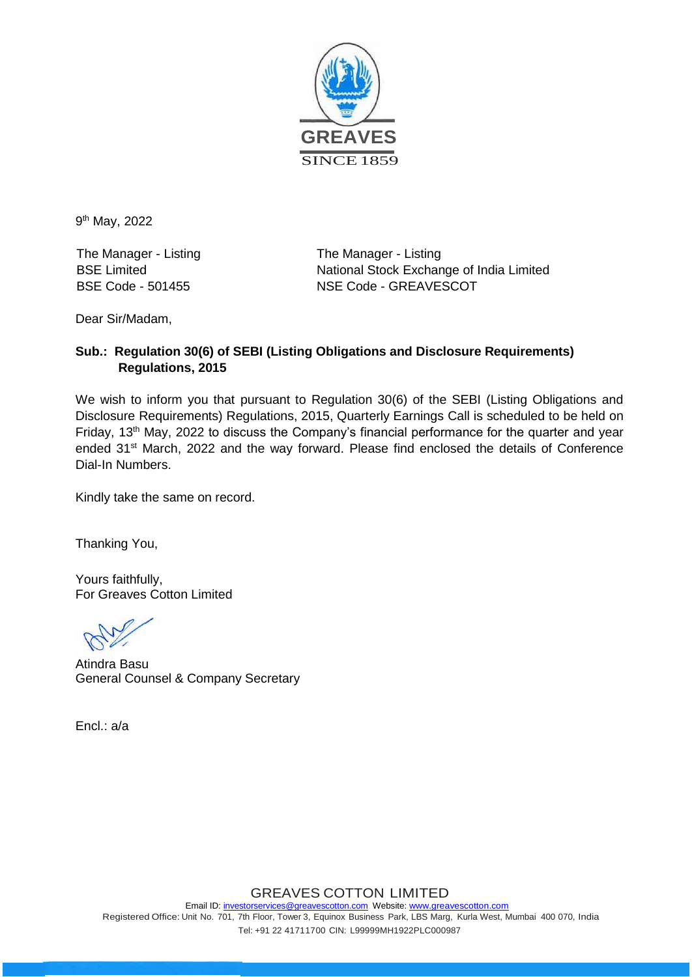

9<sup>th</sup> May, 2022

The Manager - Listing The Manager - Listing

BSE Limited National Stock Exchange of India Limited BSE Code - 501455 NSE Code - GREAVESCOT

Dear Sir/Madam,

#### **Sub.: Regulation 30(6) of SEBI (Listing Obligations and Disclosure Requirements) Regulations, 2015**

We wish to inform you that pursuant to Regulation 30(6) of the SEBI (Listing Obligations and Disclosure Requirements) Regulations, 2015, Quarterly Earnings Call is scheduled to be held on Friday, 13<sup>th</sup> May, 2022 to discuss the Company's financial performance for the quarter and year ended 31<sup>st</sup> March, 2022 and the way forward. Please find enclosed the details of Conference Dial-In Numbers.

Kindly take the same on record.

Thanking You,

Yours faithfully, For Greaves Cotton Limited

Atindra Basu General Counsel & Company Secretary

Encl.: a/a